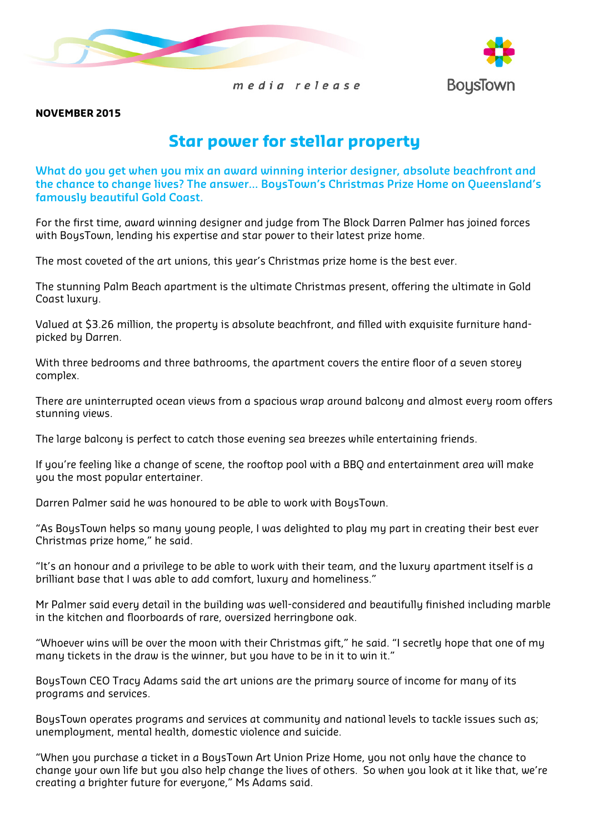



media release

#### NOVEMBER 2015

# Star power for stellar property

What do you get when you mix an award winning interior designer, absolute beachfront and the chance to change lives? The answer… BoysTown's Christmas Prize Home on Queensland's famously beautiful Gold Coast.

For the first time, award winning designer and judge from The Block Darren Palmer has joined forces with BoysTown, lending his expertise and star power to their latest prize home.

The most coveted of the art unions, this year's Christmas prize home is the best ever.

The stunning Palm Beach apartment is the ultimate Christmas present, offering the ultimate in Gold Coast luxury.

Valued at \$3.26 million, the property is absolute beachfront, and filled with exquisite furniture handpicked by Darren.

With three bedrooms and three bathrooms, the apartment covers the entire floor of a seven storey complex.

There are uninterrupted ocean views from a spacious wrap around balcony and almost every room offers stunning views.

The large balcony is perfect to catch those evening sea breezes while entertaining friends.

If you're feeling like a change of scene, the rooftop pool with a BBQ and entertainment area will make you the most popular entertainer.

Darren Palmer said he was honoured to be able to work with BoysTown.

"As BoysTown helps so many young people, I was delighted to play my part in creating their best ever Christmas prize home," he said.

"It's an honour and a privilege to be able to work with their team, and the luxury apartment itself is a brilliant base that I was able to add comfort, luxury and homeliness."

Mr Palmer said every detail in the building was well-considered and beautifully finished including marble in the kitchen and floorboards of rare, oversized herringbone oak.

"Whoever wins will be over the moon with their Christmas gift," he said. "I secretly hope that one of my many tickets in the draw is the winner, but you have to be in it to win it."

BoysTown CEO Tracy Adams said the art unions are the primary source of income for many of its programs and services.

BoysTown operates programs and services at community and national levels to tackle issues such as; unemployment, mental health, domestic violence and suicide.

"When you purchase a ticket in a BoysTown Art Union Prize Home, you not only have the chance to change your own life but you also help change the lives of others. So when you look at it like that, we're creating a brighter future for everyone," Ms Adams said.